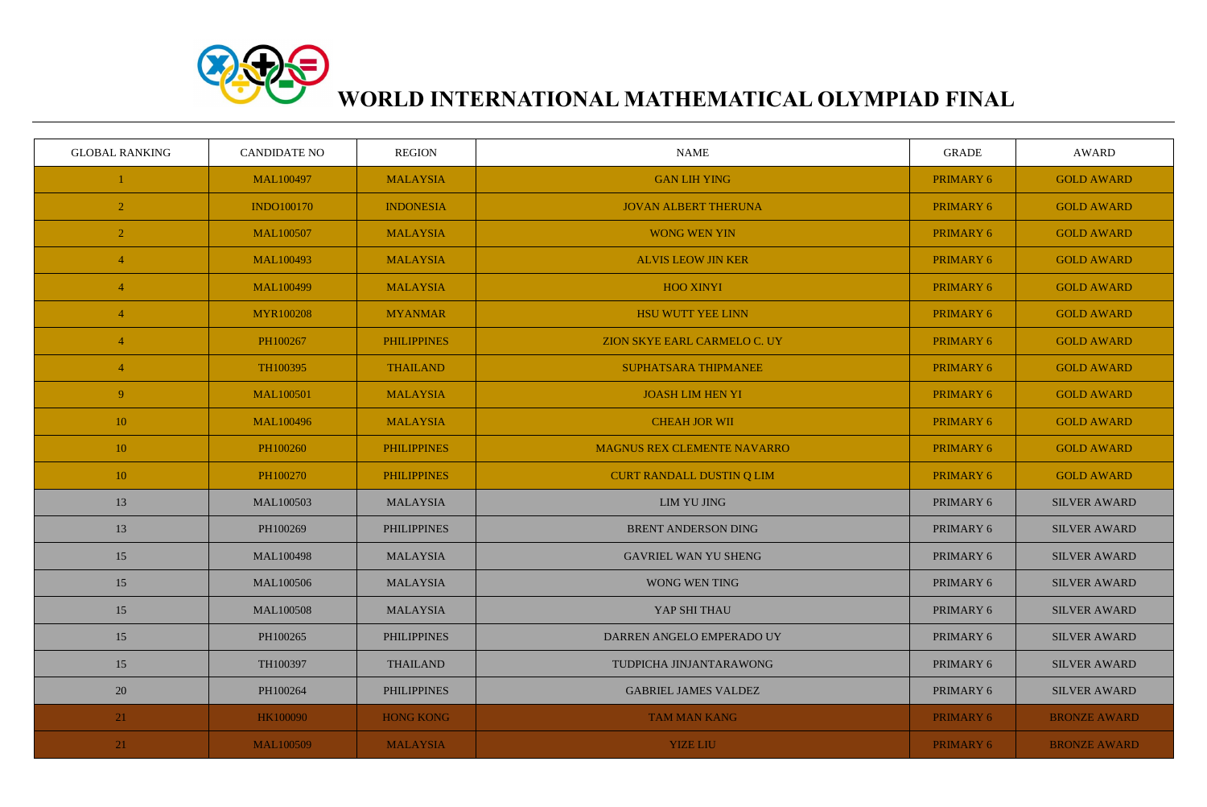

## **WORLD INTERNATIONAL MATHEMATICAL OLYMPIAD FINAL**

| <b>GLOBAL RANKING</b> | <b>CANDIDATE NO</b> | <b>REGION</b>      | <b>NAME</b>                  | <b>GRADE</b>     | AWARD               |
|-----------------------|---------------------|--------------------|------------------------------|------------------|---------------------|
|                       | <b>MAL100497</b>    | <b>MALAYSIA</b>    | <b>GAN LIH YING</b>          | <b>PRIMARY 6</b> | <b>GOLD AWARD</b>   |
| $\overline{2}$        | <b>INDO100170</b>   | <b>INDONESIA</b>   | <b>JOVAN ALBERT THERUNA</b>  | <b>PRIMARY 6</b> | <b>GOLD AWARD</b>   |
| $\overline{2}$        | <b>MAL100507</b>    | <b>MALAYSIA</b>    | <b>WONG WEN YIN</b>          | <b>PRIMARY 6</b> | <b>GOLD AWARD</b>   |
| 4                     | MAL100493           | <b>MALAYSIA</b>    | <b>ALVIS LEOW JIN KER</b>    | <b>PRIMARY 6</b> | <b>GOLD AWARD</b>   |
| $\overline{4}$        | <b>MAL100499</b>    | <b>MALAYSIA</b>    | <b>HOO XINYI</b>             | <b>PRIMARY 6</b> | <b>GOLD AWARD</b>   |
| 4                     | <b>MYR100208</b>    | <b>MYANMAR</b>     | <b>HSU WUTT YEE LINN</b>     | <b>PRIMARY 6</b> | <b>GOLD AWARD</b>   |
| $\overline{4}$        | PH100267            | <b>PHILIPPINES</b> | ZION SKYE EARL CARMELO C. UY | <b>PRIMARY 6</b> | <b>GOLD AWARD</b>   |
| $\overline{4}$        | TH100395            | <b>THAILAND</b>    | SUPHATSARA THIPMANEE         | <b>PRIMARY 6</b> | <b>GOLD AWARD</b>   |
| 9 <sup>°</sup>        | <b>MAL100501</b>    | <b>MALAYSIA</b>    | <b>JOASH LIM HEN YI</b>      | <b>PRIMARY 6</b> | <b>GOLD AWARD</b>   |
| 10                    | <b>MAL100496</b>    | <b>MALAYSIA</b>    | <b>CHEAH JOR WII</b>         | <b>PRIMARY 6</b> | <b>GOLD AWARD</b>   |
| 10                    | PH100260            | <b>PHILIPPINES</b> | MAGNUS REX CLEMENTE NAVARRO  | PRIMARY 6        | <b>GOLD AWARD</b>   |
| 10                    | PH100270            | <b>PHILIPPINES</b> | CURT RANDALL DUSTIN Q LIM    | <b>PRIMARY 6</b> | <b>GOLD AWARD</b>   |
| 13                    | MAL100503           | <b>MALAYSIA</b>    | <b>LIM YU JING</b>           | PRIMARY 6        | <b>SILVER AWARD</b> |
| 13                    | PH100269            | <b>PHILIPPINES</b> | <b>BRENT ANDERSON DING</b>   | PRIMARY 6        | <b>SILVER AWARD</b> |
| 15                    | <b>MAL100498</b>    | <b>MALAYSIA</b>    | <b>GAVRIEL WAN YU SHENG</b>  | PRIMARY 6        | <b>SILVER AWARD</b> |
| 15                    | <b>MAL100506</b>    | <b>MALAYSIA</b>    | WONG WEN TING                | PRIMARY 6        | <b>SILVER AWARD</b> |
| 15                    | <b>MAL100508</b>    | <b>MALAYSIA</b>    | YAP SHI THAU                 | PRIMARY 6        | <b>SILVER AWARD</b> |
| 15                    | PH100265            | <b>PHILIPPINES</b> | DARREN ANGELO EMPERADO UY    | PRIMARY 6        | <b>SILVER AWARD</b> |
| 15                    | TH100397            | <b>THAILAND</b>    | TUDPICHA JINJANTARAWONG      | PRIMARY 6        | <b>SILVER AWARD</b> |
| 20                    | PH100264            | <b>PHILIPPINES</b> | <b>GABRIEL JAMES VALDEZ</b>  | PRIMARY 6        | <b>SILVER AWARD</b> |
| 21                    | HK100090            | <b>HONG KONG</b>   | <b>TAM MAN KANG</b>          | <b>PRIMARY 6</b> | <b>BRONZE AWARD</b> |
| 21                    | <b>MAL100509</b>    | <b>MALAYSIA</b>    | <b>YIZE LIU</b>              | <b>PRIMARY 6</b> | <b>BRONZE AWARD</b> |